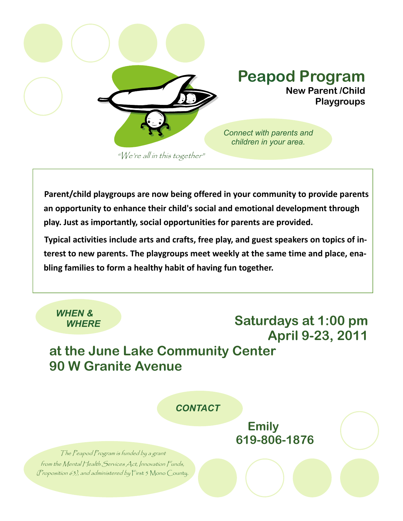

**Parent/child playgroups are now being offered in your community to provide parents an opportunity to enhance their child's social and emotional development through play. Just as importantly, social opportunities for parents are provided.**

**Typical activities include arts and crafts, free play, and guest speakers on topics of in‐ terest to new parents. The playgroups meet weekly at the same time and place, ena‐ bling families to form a healthy habit of having fun together.** 

 *WHEN &* 

## *WHERE* **Saturdays at 1:00 pm April 9-23, 2011**

## **at the June Lake Community Center 90 W Granite Avenue**

 *CONTACT* 

 **Emily 619-806-1876** 

The Peapod Program is funded by a grant from the Mental Health Services Act, Innovation Funds, (Proposition 63), and administered by First 5 Mono County.